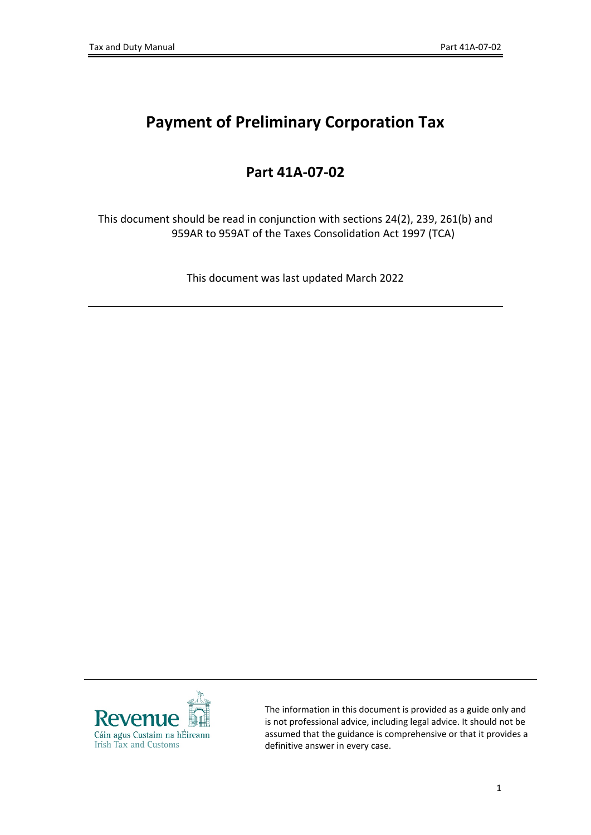# **Payment of Preliminary Corporation Tax**

## **Part 41A-07-02**

This document should be read in conjunction with sections 24(2), 239, 261(b) and 959AR to 959AT of the Taxes Consolidation Act 1997 (TCA)

This document was last updated March 2022



The information in this document is provided as a guide only and is not professional advice, including legal advice. It should not be assumed that the guidance is comprehensive or that it provides a definitive answer in every case.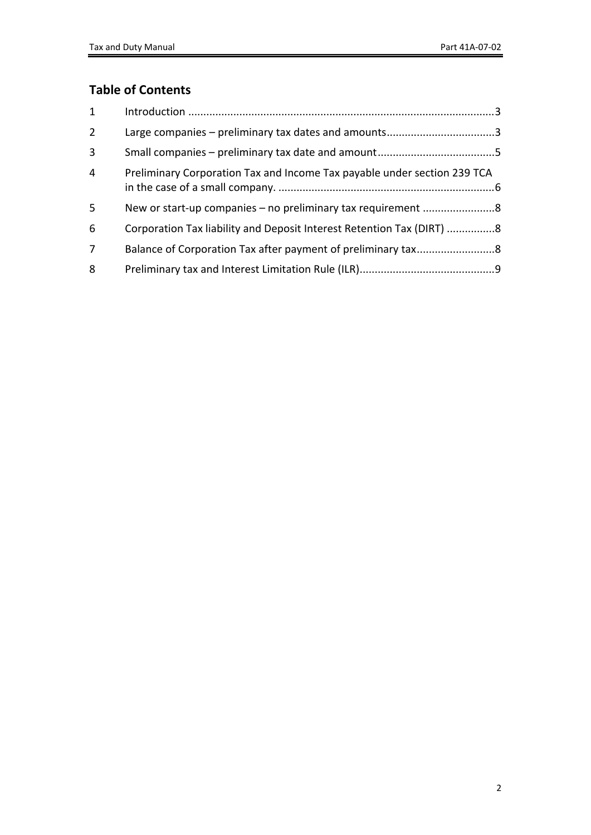### **Table of Contents**

| $\mathbf{1}$   |                                                                          |  |
|----------------|--------------------------------------------------------------------------|--|
| $2^{\circ}$    | Large companies – preliminary tax dates and amounts3                     |  |
| $\overline{3}$ |                                                                          |  |
| $\overline{4}$ | Preliminary Corporation Tax and Income Tax payable under section 239 TCA |  |
| 5              |                                                                          |  |
| 6              | Corporation Tax liability and Deposit Interest Retention Tax (DIRT) 8    |  |
| $\overline{7}$ |                                                                          |  |
| 8              |                                                                          |  |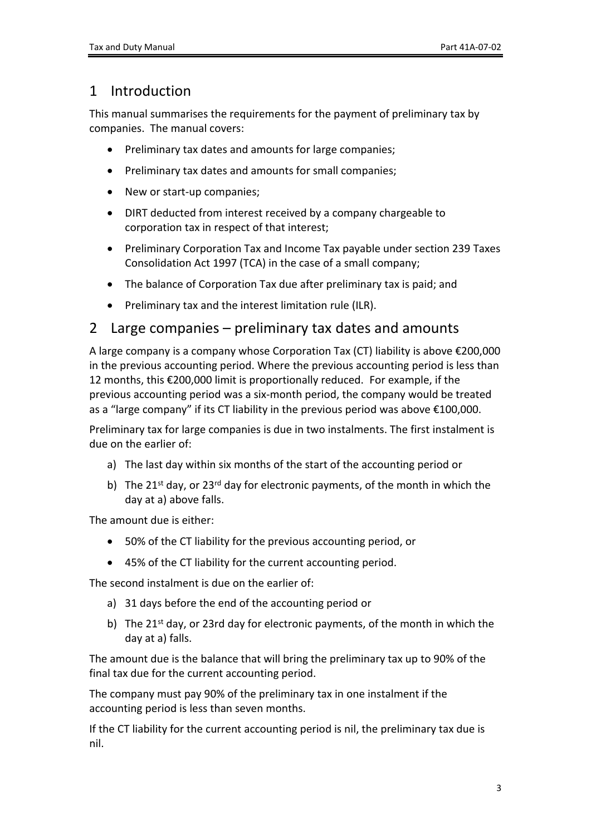### <span id="page-2-0"></span>1 Introduction

This manual summarises the requirements for the payment of preliminary tax by companies. The manual covers:

- Preliminary tax dates and amounts for large companies;
- Preliminary tax dates and amounts for small companies;
- New or start-up companies;
- DIRT deducted from interest received by a company chargeable to corporation tax in respect of that interest;
- Preliminary Corporation Tax and Income Tax payable under section 239 Taxes Consolidation Act 1997 (TCA) in the case of a small company;
- The balance of Corporation Tax due after preliminary tax is paid; and
- Preliminary tax and the interest limitation rule (ILR).

### <span id="page-2-1"></span>2 Large companies – preliminary tax dates and amounts

A large company is a company whose Corporation Tax (CT) liability is above €200,000 in the previous accounting period. Where the previous accounting period is less than 12 months, this €200,000 limit is proportionally reduced. For example, if the previous accounting period was a six-month period, the company would be treated as a "large company" if its CT liability in the previous period was above €100,000.

Preliminary tax for large companies is due in two instalments. The first instalment is due on the earlier of:

- a) The last day within six months of the start of the accounting period or
- b) The  $21^{st}$  day, or  $23^{rd}$  day for electronic payments, of the month in which the day at a) above falls.

The amount due is either:

- 50% of the CT liability for the previous accounting period, or
- 45% of the CT liability for the current accounting period.

The second instalment is due on the earlier of:

- a) 31 days before the end of the accounting period or
- b) The  $21^{st}$  day, or 23rd day for electronic payments, of the month in which the day at a) falls.

The amount due is the balance that will bring the preliminary tax up to 90% of the final tax due for the current accounting period.

The company must pay 90% of the preliminary tax in one instalment if the accounting period is less than seven months.

If the CT liability for the current accounting period is nil, the preliminary tax due is nil.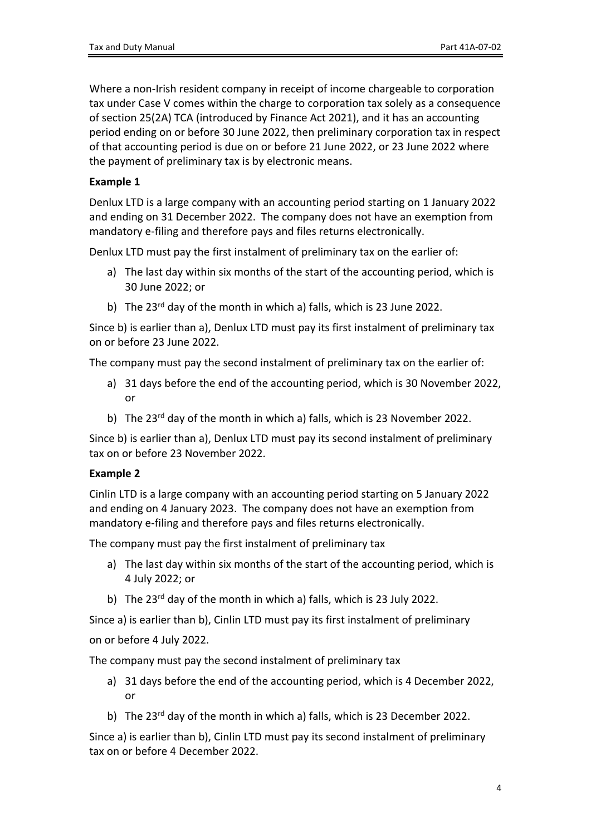Where a non-Irish resident company in receipt of income chargeable to corporation tax under Case V comes within the charge to corporation tax solely as a consequence of section 25(2A) TCA (introduced by Finance Act 2021), and it has an accounting period ending on or before 30 June 2022, then preliminary corporation tax in respect of that accounting period is due on or before 21 June 2022, or 23 June 2022 where the payment of preliminary tax is by electronic means.

#### **Example 1**

Denlux LTD is a large company with an accounting period starting on 1 January 2022 and ending on 31 December 2022. The company does not have an exemption from mandatory e-filing and therefore pays and files returns electronically.

Denlux LTD must pay the first instalment of preliminary tax on the earlier of:

- a) The last day within six months of the start of the accounting period, which is 30 June 2022; or
- b) The 23<sup>rd</sup> day of the month in which a) falls, which is 23 June 2022.

Since b) is earlier than a), Denlux LTD must pay its first instalment of preliminary tax on or before 23 June 2022.

The company must pay the second instalment of preliminary tax on the earlier of:

- a) 31 days before the end of the accounting period, which is 30 November 2022, or
- b) The 23<sup>rd</sup> day of the month in which a) falls, which is 23 November 2022.

Since b) is earlier than a), Denlux LTD must pay its second instalment of preliminary tax on or before 23 November 2022.

#### **Example 2**

Cinlin LTD is a large company with an accounting period starting on 5 January 2022 and ending on 4 January 2023. The company does not have an exemption from mandatory e-filing and therefore pays and files returns electronically.

The company must pay the first instalment of preliminary tax

- a) The last day within six months of the start of the accounting period, which is 4 July 2022; or
- b) The 23<sup>rd</sup> day of the month in which a) falls, which is 23 July 2022.

Since a) is earlier than b), Cinlin LTD must pay its first instalment of preliminary on or before 4 July 2022.

The company must pay the second instalment of preliminary tax

- a) 31 days before the end of the accounting period, which is 4 December 2022, or
- b) The 23<sup>rd</sup> day of the month in which a) falls, which is 23 December 2022.

Since a) is earlier than b), Cinlin LTD must pay its second instalment of preliminary tax on or before 4 December 2022.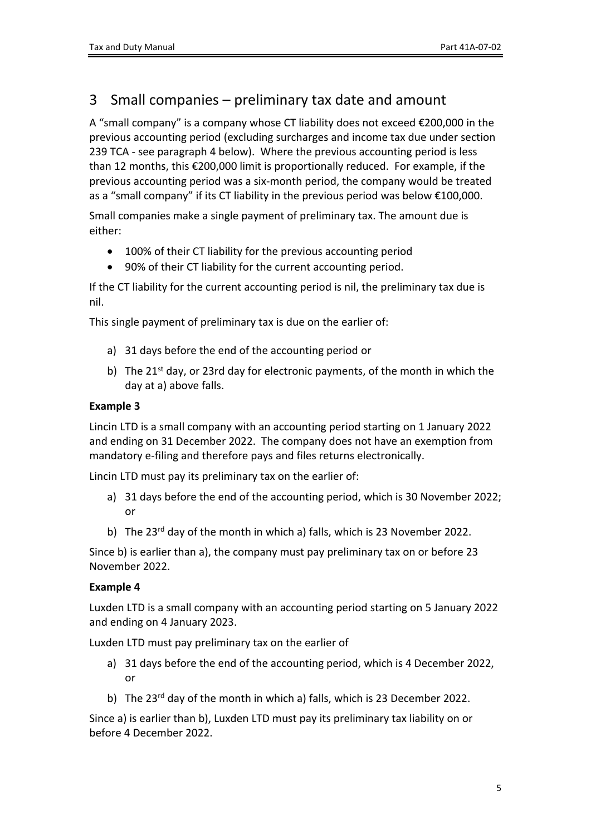### <span id="page-4-0"></span>3 Small companies – preliminary tax date and amount

A "small company" is a company whose CT liability does not exceed €200,000 in the previous accounting period (excluding surcharges and income tax due under section 239 TCA - see paragraph 4 below). Where the previous accounting period is less than 12 months, this €200,000 limit is proportionally reduced. For example, if the previous accounting period was a six-month period, the company would be treated as a "small company" if its CT liability in the previous period was below €100,000.

Small companies make a single payment of preliminary tax. The amount due is either:

- 100% of their CT liability for the previous accounting period
- 90% of their CT liability for the current accounting period.

If the CT liability for the current accounting period is nil, the preliminary tax due is nil.

This single payment of preliminary tax is due on the earlier of:

- a) 31 days before the end of the accounting period or
- b) The  $21^{st}$  day, or 23rd day for electronic payments, of the month in which the day at a) above falls.

#### **Example 3**

Lincin LTD is a small company with an accounting period starting on 1 January 2022 and ending on 31 December 2022. The company does not have an exemption from mandatory e-filing and therefore pays and files returns electronically.

Lincin LTD must pay its preliminary tax on the earlier of:

- a) 31 days before the end of the accounting period, which is 30 November 2022; or
- b) The 23<sup>rd</sup> day of the month in which a) falls, which is 23 November 2022.

Since b) is earlier than a), the company must pay preliminary tax on or before 23 November 2022.

#### **Example 4**

Luxden LTD is a small company with an accounting period starting on 5 January 2022 and ending on 4 January 2023.

Luxden LTD must pay preliminary tax on the earlier of

- a) 31 days before the end of the accounting period, which is 4 December 2022, or
- b) The 23<sup>rd</sup> day of the month in which a) falls, which is 23 December 2022.

Since a) is earlier than b), Luxden LTD must pay its preliminary tax liability on or before 4 December 2022.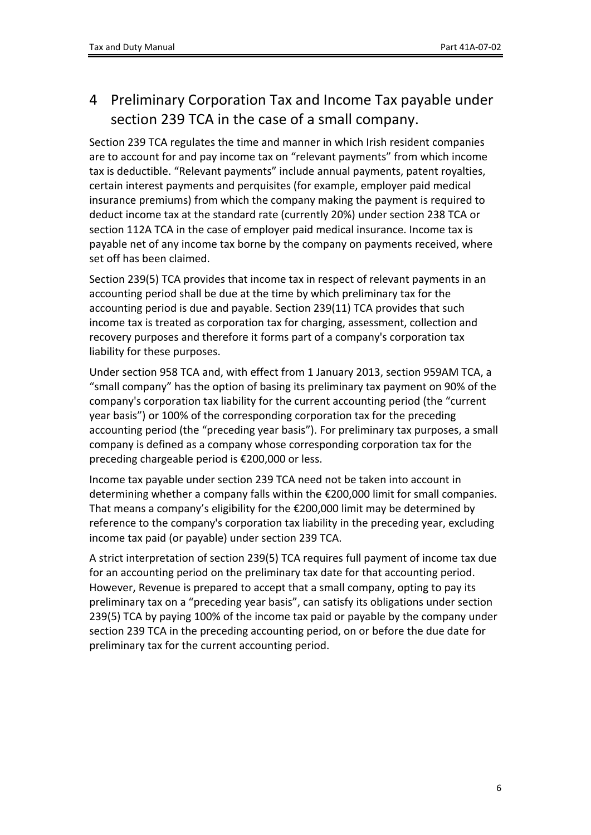## <span id="page-5-0"></span>4 Preliminary Corporation Tax and Income Tax payable under section 239 TCA in the case of a small company.

Section 239 TCA regulates the time and manner in which Irish resident companies are to account for and pay income tax on "relevant payments" from which income tax is deductible. "Relevant payments" include annual payments, patent royalties, certain interest payments and perquisites (for example, employer paid medical insurance premiums) from which the company making the payment is required to deduct income tax at the standard rate (currently 20%) under section 238 TCA or section 112A TCA in the case of employer paid medical insurance. Income tax is payable net of any income tax borne by the company on payments received, where set off has been claimed.

Section 239(5) TCA provides that income tax in respect of relevant payments in an accounting period shall be due at the time by which preliminary tax for the accounting period is due and payable. Section 239(11) TCA provides that such income tax is treated as corporation tax for charging, assessment, collection and recovery purposes and therefore it forms part of a company's corporation tax liability for these purposes.

Under section 958 TCA and, with effect from 1 January 2013, section 959AM TCA, a "small company" has the option of basing its preliminary tax payment on 90% of the company's corporation tax liability for the current accounting period (the "current year basis") or 100% of the corresponding corporation tax for the preceding accounting period (the "preceding year basis"). For preliminary tax purposes, a small company is defined as a company whose corresponding corporation tax for the preceding chargeable period is €200,000 or less.

Income tax payable under section 239 TCA need not be taken into account in determining whether a company falls within the €200,000 limit for small companies. That means a company's eligibility for the €200,000 limit may be determined by reference to the company's corporation tax liability in the preceding year, excluding income tax paid (or payable) under section 239 TCA.

A strict interpretation of section 239(5) TCA requires full payment of income tax due for an accounting period on the preliminary tax date for that accounting period. However, Revenue is prepared to accept that a small company, opting to pay its preliminary tax on a "preceding year basis", can satisfy its obligations under section 239(5) TCA by paying 100% of the income tax paid or payable by the company under section 239 TCA in the preceding accounting period, on or before the due date for preliminary tax for the current accounting period.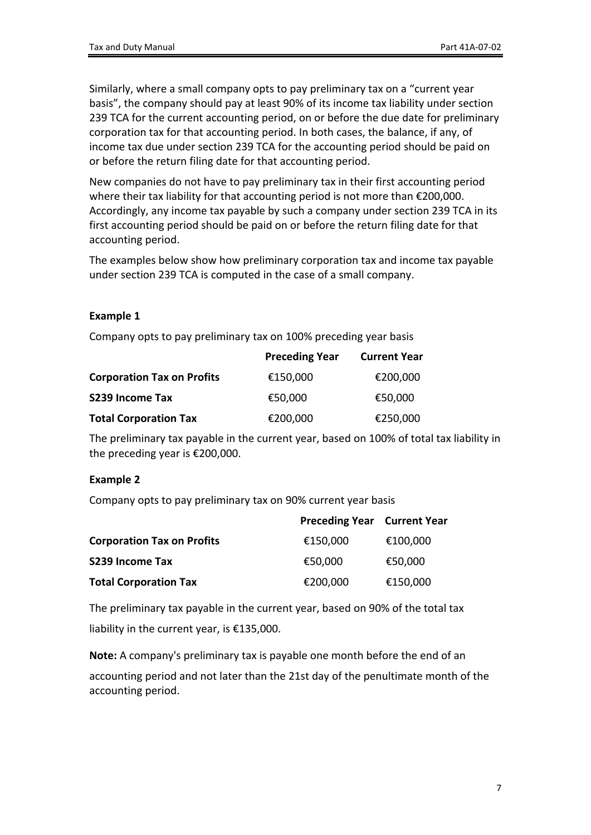Similarly, where a small company opts to pay preliminary tax on a "current year basis", the company should pay at least 90% of its income tax liability under section 239 TCA for the current accounting period, on or before the due date for preliminary corporation tax for that accounting period. In both cases, the balance, if any, of income tax due under section 239 TCA for the accounting period should be paid on or before the return filing date for that accounting period.

New companies do not have to pay preliminary tax in their first accounting period where their tax liability for that accounting period is not more than €200,000. Accordingly, any income tax payable by such a company under section 239 TCA in its first accounting period should be paid on or before the return filing date for that accounting period.

The examples below show how preliminary corporation tax and income tax payable under section 239 TCA is computed in the case of a small company.

#### **Example 1**

Company opts to pay preliminary tax on 100% preceding year basis

|                                   | <b>Preceding Year</b> | <b>Current Year</b> |
|-----------------------------------|-----------------------|---------------------|
| <b>Corporation Tax on Profits</b> | €150,000              | €200,000            |
| S239 Income Tax                   | €50,000               | €50,000             |
| <b>Total Corporation Tax</b>      | €200,000              | €250,000            |

The preliminary tax payable in the current year, based on 100% of total tax liability in the preceding year is €200,000.

#### **Example 2**

Company opts to pay preliminary tax on 90% current year basis

|                                   | <b>Preceding Year Current Year</b> |          |
|-----------------------------------|------------------------------------|----------|
| <b>Corporation Tax on Profits</b> | €150,000                           | €100,000 |
| S239 Income Tax                   | €50,000                            | €50,000  |
| <b>Total Corporation Tax</b>      | €200,000                           | €150,000 |

The preliminary tax payable in the current year, based on 90% of the total tax liability in the current year, is €135,000.

**Note:** A company's preliminary tax is payable one month before the end of an accounting period and not later than the 21st day of the penultimate month of the accounting period.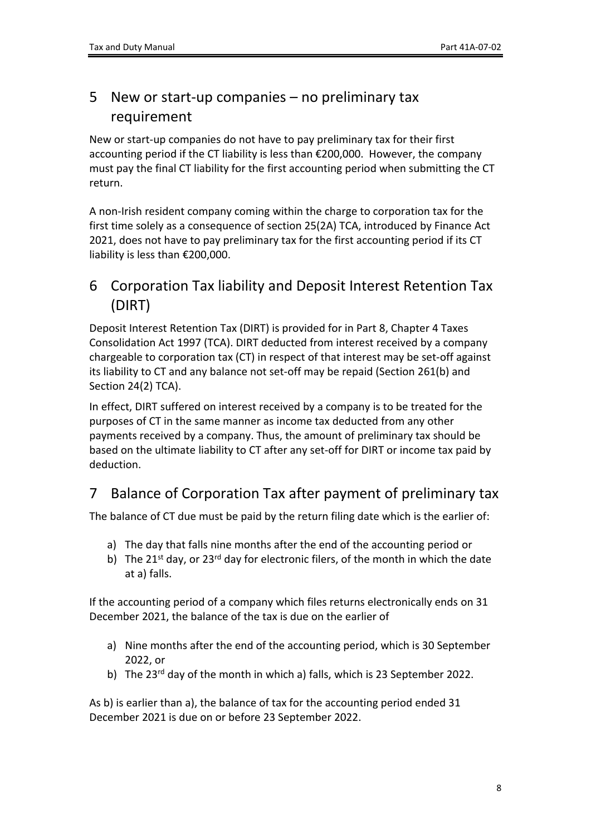## <span id="page-7-0"></span>5 New or start-up companies – no preliminary tax requirement

New or start-up companies do not have to pay preliminary tax for their first accounting period if the CT liability is less than €200,000. However, the company must pay the final CT liability for the first accounting period when submitting the CT return.

A non-Irish resident company coming within the charge to corporation tax for the first time solely as a consequence of section 25(2A) TCA, introduced by Finance Act 2021, does not have to pay preliminary tax for the first accounting period if its CT liability is less than €200,000.

### <span id="page-7-1"></span>6 Corporation Tax liability and Deposit Interest Retention Tax (DIRT)

Deposit Interest Retention Tax (DIRT) is provided for in Part 8, Chapter 4 Taxes Consolidation Act 1997 (TCA). DIRT deducted from interest received by a company chargeable to corporation tax (CT) in respect of that interest may be set-off against its liability to CT and any balance not set-off may be repaid (Section 261(b) and Section 24(2) TCA).

In effect, DIRT suffered on interest received by a company is to be treated for the purposes of CT in the same manner as income tax deducted from any other payments received by a company. Thus, the amount of preliminary tax should be based on the ultimate liability to CT after any set-off for DIRT or income tax paid by deduction.

## <span id="page-7-2"></span>7 Balance of Corporation Tax after payment of preliminary tax

The balance of CT due must be paid by the return filing date which is the earlier of:

- a) The day that falls nine months after the end of the accounting period or
- b) The 21<sup>st</sup> day, or 23<sup>rd</sup> day for electronic filers, of the month in which the date at a) falls.

If the accounting period of a company which files returns electronically ends on 31 December 2021, the balance of the tax is due on the earlier of

- a) Nine months after the end of the accounting period, which is 30 September 2022, or
- b) The 23<sup>rd</sup> day of the month in which a) falls, which is 23 September 2022.

As b) is earlier than a), the balance of tax for the accounting period ended 31 December 2021 is due on or before 23 September 2022.